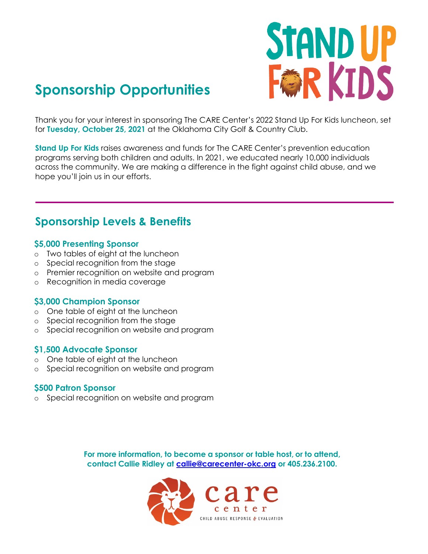

# **Sponsorship Opportunities**

Thank you for your interest in sponsoring The CARE Center's 2022 Stand Up For Kids luncheon, set for **Tuesday, October 25, 2021** at the Oklahoma City Golf & Country Club.

**Stand Up For Kids** raises awareness and funds for The CARE Center's prevention education programs serving both children and adults. In 2021, we educated nearly 10,000 individuals across the community. We are making a difference in the fight against child abuse, and we hope you'll join us in our efforts.

## **Sponsorship Levels & Benefits**

#### **\$5,000 Presenting Sponsor**

- o Two tables of eight at the luncheon
- o Special recognition from the stage
- o Premier recognition on website and program
- o Recognition in media coverage

#### **\$3,000 Champion Sponsor**

- o One table of eight at the luncheon
- o Special recognition from the stage
- o Special recognition on website and program

#### **\$1,500 Advocate Sponsor**

- o One table of eight at the luncheon
- o Special recognition on website and program

#### **\$500 Patron Sponsor**

o Special recognition on website and program

**For more information, to become a sponsor or table host, or to attend, contact Callie Ridley at [callie@carecenter-okc.org](mailto:callie@carecenter-okc.org) or 405.236.2100.**